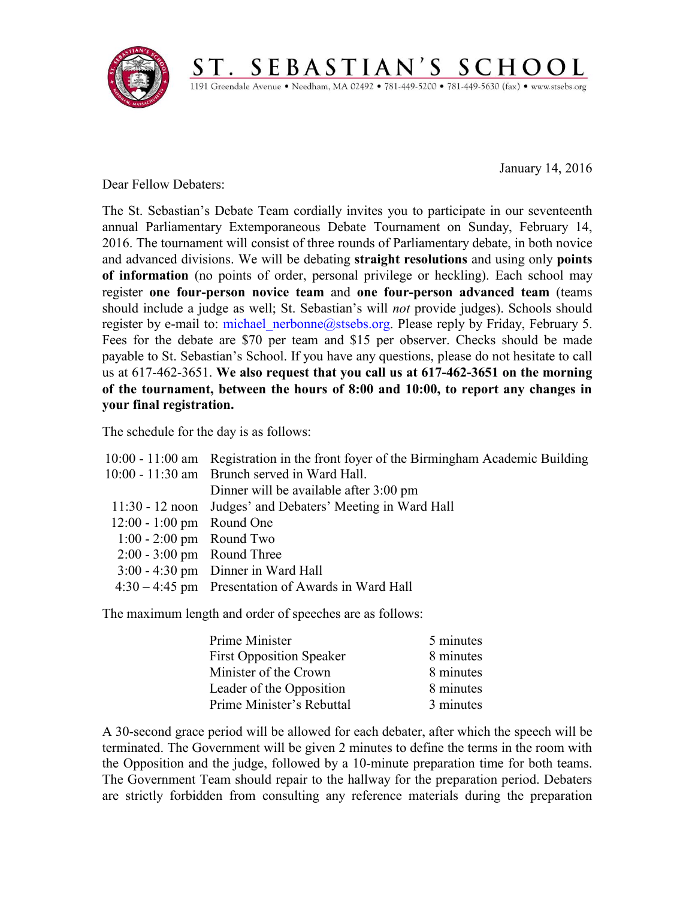

January 14, 2016

Dear Fellow Debaters:

The St. Sebastian's Debate Team cordially invites you to participate in our seventeenth annual Parliamentary Extemporaneous Debate Tournament on Sunday, February 14, 2016. The tournament will consist of three rounds of Parliamentary debate, in both novice and advanced divisions. We will be debating **straight resolutions** and using only **points of information** (no points of order, personal privilege or heckling). Each school may register **one four-person novice team** and **one four-person advanced team** (teams should include a judge as well; St. Sebastian's will *not* provide judges). Schools should register by e-mail to: michael nerbonne@stsebs.org. Please reply by Friday, February 5. Fees for the debate are \$70 per team and \$15 per observer. Checks should be made payable to St. Sebastian's School. If you have any questions, please do not hesitate to call us at 617-462-3651. **We also request that you call us at 617-462-3651 on the morning of the tournament, between the hours of 8:00 and 10:00, to report any changes in your final registration.**

ST. SEBASTIAN'S SCHOOL 1191 Greendale Avenue · Needham, MA 02492 · 781-449-5200 · 781-449-5630 (fax) · www.stsebs.org

The schedule for the day is as follows:

|                              | 10:00 - 11:00 am Registration in the front foyer of the Birmingham Academic Building |
|------------------------------|--------------------------------------------------------------------------------------|
|                              | 10:00 - 11:30 am Brunch served in Ward Hall.                                         |
|                              | Dinner will be available after 3:00 pm                                               |
|                              | 11:30 - 12 noon Judges' and Debaters' Meeting in Ward Hall                           |
| 12:00 - 1:00 pm Round One    |                                                                                      |
| $1:00 - 2:00$ pm Round Two   |                                                                                      |
| $2:00 - 3:00$ pm Round Three |                                                                                      |
|                              | $3:00 - 4:30$ pm Dinner in Ward Hall                                                 |
|                              | $4:30 - 4:45$ pm Presentation of Awards in Ward Hall                                 |

The maximum length and order of speeches are as follows:

| Prime Minister                  | 5 minutes |
|---------------------------------|-----------|
| <b>First Opposition Speaker</b> | 8 minutes |
| Minister of the Crown           | 8 minutes |
| Leader of the Opposition        | 8 minutes |
| Prime Minister's Rebuttal       | 3 minutes |

A 30-second grace period will be allowed for each debater, after which the speech will be terminated. The Government will be given 2 minutes to define the terms in the room with the Opposition and the judge, followed by a 10-minute preparation time for both teams. The Government Team should repair to the hallway for the preparation period. Debaters are strictly forbidden from consulting any reference materials during the preparation